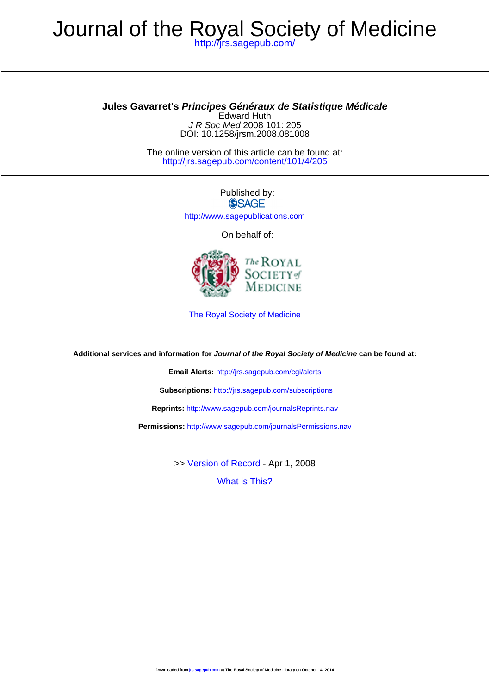## <http://jrs.sagepub.com/> Journal of the Royal Society of Medicine

## **Jules Gavarret's Principes Généraux de Statistique Médicale**

DOI: 10.1258/jrsm.2008.081008 J R Soc Med 2008 101: 205 Edward Huth

<http://jrs.sagepub.com/content/101/4/205> The online version of this article can be found at:

> Published by: **SSAGE** <http://www.sagepublications.com>

> > On behalf of:



[The Royal Society of Medicine](http://www.rsm.ac.uk/)

**Additional services and information for Journal of the Royal Society of Medicine can be found at:**

**Email Alerts:** <http://jrs.sagepub.com/cgi/alerts>

**Subscriptions:** <http://jrs.sagepub.com/subscriptions>

**Reprints:** <http://www.sagepub.com/journalsReprints.nav>

**Permissions:** <http://www.sagepub.com/journalsPermissions.nav>

>> [Version of Record -](http://jrs.sagepub.com/content/101/4/205.full.pdf) Apr 1, 2008

[What is This?](http://online.sagepub.com/site/sphelp/vorhelp.xhtml)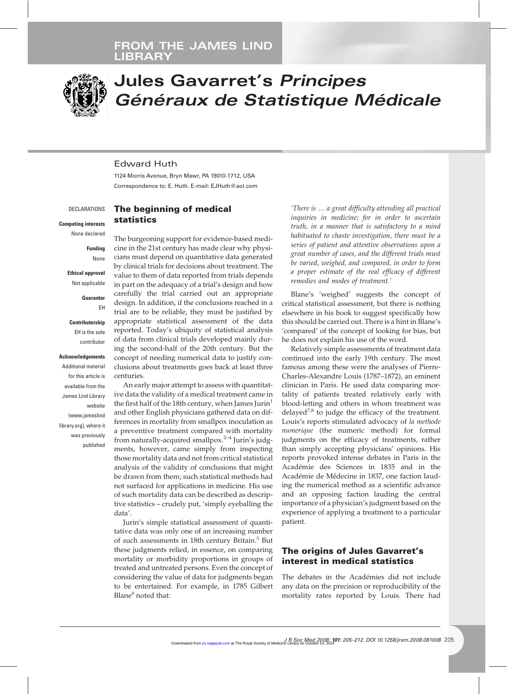

# **Jules Gavarret's** *Principes Généraux de Statistique Médicale*

## Edward Huth

1124 Morris Avenue, Bryn Mawr, PA 19010-1712, USA Correspondence to: E. Huth. E-mail: EJHuth@aol.com

#### **DECLARATIONS**

**Competing interests**

None declared

**Funding** None

**Ethical approval** Not applicable

> **Guarantor** EH

**Contributorship** EH is the sole contributor

**Acknowledgements** Additional material for this article is available from the James Lind Library website (www.jameslind library.org), where it was previously published

**The beginning of medical statistics**

The burgeoning support for evidence-based medicine in the 21st century has made clear why physicians must depend on quantitative data generated by clinical trials for decisions about treatment. The value to them of data reported from trials depends in part on the adequacy of a trial's design and how carefully the trial carried out an appropriate design. In addition, if the conclusions reached in a trial are to be reliable, they must be justified by appropriate statistical assessment of the data reported. Today's ubiquity of statistical analysis of data from clinical trials developed mainly during the second-half of the 20th century. But the concept of needing numerical data to justify conclusions about treatments goes back at least three centuries.

An early major attempt to assess with quantitative data the validity of a medical treatment came in the first half of the 18th century, when James Jurin<sup>1</sup> and other English physicians gathered data on differences in mortality from smallpox inoculation as a preventive treatment compared with mortality from naturally-acquired smallpox.<sup>2-4</sup> Jurin's judgments, however, came simply from inspecting those mortality data and not from critical statistical analysis of the validity of conclusions that might be drawn from them; such statistical methods had not surfaced for applications in medicine. His use of such mortality data can be described as descriptive statistics – crudely put, 'simply eyeballing the data'.

Jurin's simple statistical assessment of quantitative data was only one of an increasing number of such assessments in 18th century Britain.<sup>5</sup> But these judgments relied, in essence, on comparing mortality or morbidity proportions in groups of treated and untreated persons. Even the concept of considering the value of data for judgments began to be entertained. For example, in 1785 Gilbert Blane<sup>6</sup> noted that:

*'There is* . *a great difficulty attending all practical inquiries in medicine; for in order to ascertain truth, in a manner that is satisfactory to a mind habituated to chaste investigation, there must be a series of patient and attentive observations upon a great number of cases, and the different trials must be varied, weighed, and compared, in order to form a proper estimate of the real efficacy of different remedies and modes of treatment.'*

Blane's 'weighed' suggests the concept of critical statistical assessment, but there is nothing elsewhere in his book to suggest specifically how this should be carried out. There is a hint in Blane's 'compared' of the concept of looking for bias, but he does not explain his use of the word.

Relatively simple assessments of treatment data continued into the early 19th century. The most famous among these were the analyses of Pierre-Charles-Alexandre Louis (1787–1872), an eminent clinician in Paris. He used data comparing mortality of patients treated relatively early with blood-letting and others in whom treatment was delayed<sup>7,8</sup> to judge the efficacy of the treatment. Louis's reports stimulated advocacy of *la methode numerique* (the numeric method) for formal judgments on the efficacy of treatments, rather than simply accepting physicians' opinions. His reports provoked intense debates in Paris in the Académie des Sciences in 1835 and in the Académie de Médecine in 1837, one faction lauding the numerical method as a scientific advance and an opposing faction lauding the central importance of a physician's judgment based on the experience of applying a treatment to a particular patient.

## **The origins of Jules Gavarret's interest in medical statistics**

The debates in the Académies did not include any data on the precision or reproducibility of the mortality rates reported by Louis. There had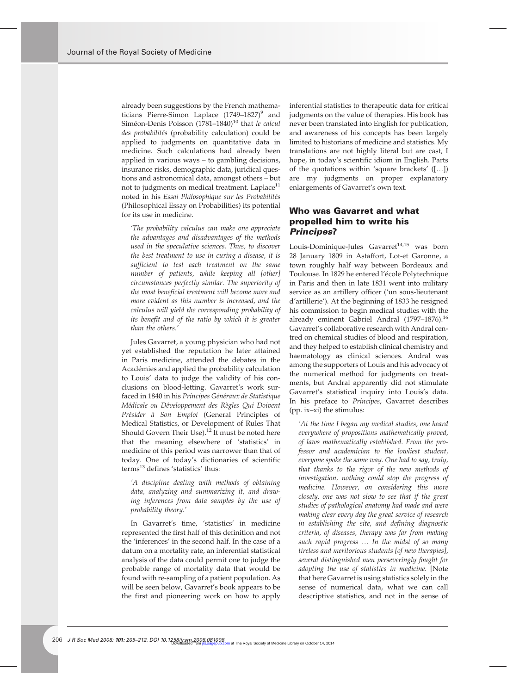already been suggestions by the French mathematicians Pierre-Simon Laplace  $(1749-1827)^9$  and Siméon-Denis Poisson (1781–1840)<sup>10</sup> that le calcul *des probabilités* (probability calculation) could be applied to judgments on quantitative data in medicine. Such calculations had already been applied in various ways – to gambling decisions, insurance risks, demographic data, juridical questions and astronomical data, amongst others – but not to judgments on medical treatment. Laplace $11$ noted in his *Essai Philosophique sur les Probabilités* (Philosophical Essay on Probabilities) its potential for its use in medicine.

*'The probability calculus can make one appreciate the advantages and disadvantages of the methods used in the speculative sciences. Thus, to discover the best treatment to use in curing a disease, it is sufficient to test each treatment on the same number of patients, while keeping all [other] circumstances perfectly similar. The superiority of the most beneficial treatment will become more and more evident as this number is increased, and the calculus will yield the corresponding probability of its benefit and of the ratio by which it is greater than the others.'*

Jules Gavarret, a young physician who had not yet established the reputation he later attained in Paris medicine, attended the debates in the Académies and applied the probability calculation to Louis' data to judge the validity of his conclusions on blood-letting. Gavarret's work surfaced in 1840 in his *Principes Généraux de Statistique Médicale ou Développement des Règles Qui Doivent Présider à Son Emploi* (General Principles of Medical Statistics, or Development of Rules That Should Govern Their Use).<sup>12</sup> It must be noted here that the meaning elsewhere of 'statistics' in medicine of this period was narrower than that of today. One of today's dictionaries of scientific terms<sup>13</sup> defines 'statistics' thus:

*'A discipline dealing with methods of obtaining data, analyzing and summarizing it, and drawing inferences from data samples by the use of probability theory.'*

In Gavarret's time, 'statistics' in medicine represented the first half of this definition and not the 'inferences' in the second half. In the case of a datum on a mortality rate, an inferential statistical analysis of the data could permit one to judge the probable range of mortality data that would be found with re-sampling of a patient population. As will be seen below, Gavarret's book appears to be the first and pioneering work on how to apply

inferential statistics to therapeutic data for critical judgments on the value of therapies. His book has never been translated into English for publication, and awareness of his concepts has been largely limited to historians of medicine and statistics. My translations are not highly literal but are cast, I hope, in today's scientific idiom in English. Parts of the quotations within 'square brackets'  $([-...]$ are my judgments on proper explanatory enlargements of Gavarret's own text.

## **Who was Gavarret and what propelled him to write his** *Principes***?**

Louis-Dominique-Jules Gavarret<sup>14,15</sup> was born 28 January 1809 in Astaffort, Lot-et Garonne, a town roughly half way between Bordeaux and Toulouse. In 1829 he entered l'école Polytechnique in Paris and then in late 1831 went into military service as an artillery officer ('un sous-lieutenant d'artillerie'). At the beginning of 1833 he resigned his commission to begin medical studies with the already eminent Gabriel Andral (1797-1876).<sup>16</sup> Gavarret's collaborative research with Andral centred on chemical studies of blood and respiration, and they helped to establish clinical chemistry and haematology as clinical sciences. Andral was among the supporters of Louis and his advocacy of the numerical method for judgments on treatments, but Andral apparently did not stimulate Gavarret's statistical inquiry into Louis's data. In his preface to *Principes*, Gavarret describes (pp. ix–xi) the stimulus:

*'At the time I began my medical studies, one heard everywhere of propositions mathematically proved, of laws mathematically established. From the professor and academician to the lowliest student, everyone spoke the same way. One had to say, truly, that thanks to the rigor of the new methods of investigation, nothing could stop the progress of medicine. However, on considering this more closely, one was not slow to see that if the great studies of pathological anatomy had made and were making clear every day the great service of research in establishing the site, and defining diagnostic criteria, of diseases, therapy was far from making such rapid progress* . *In the midst of so many tireless and meritorious students [of new therapies], several distinguished men perseveringly fought for adopting the use of statistics in medicine.* [Note that here Gavarret is using statistics solely in the sense of numerical data, what we can call descriptive statistics, and not in the sense of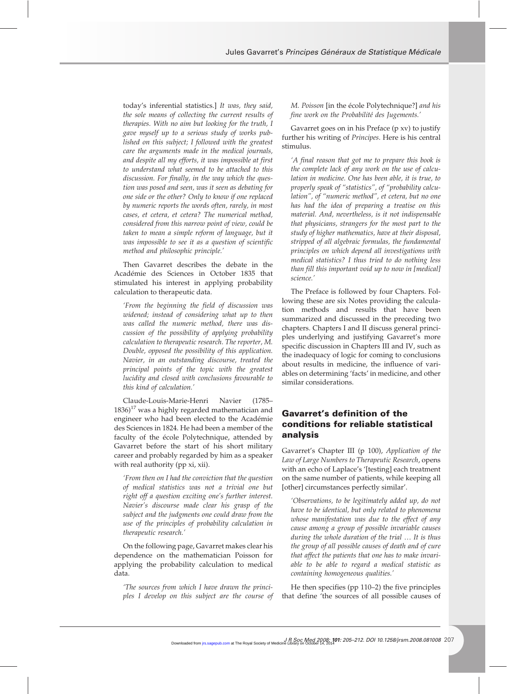today's inferential statistics.] *It was, they said, the sole means of collecting the current results of therapies. With no aim but looking for the truth, I gave myself up to a serious study of works published on this subject; I followed with the greatest care the arguments made in the medical journals, and despite all my efforts, it was impossible at first to understand what seemed to be attached to this discussion. For finally, in the way which the question was posed and seen, was it seen as debating for one side or the other? Only to know if one replaced by numeric reports the words often, rarely, in most cases, et cetera, et cetera? The numerical method, considered from this narrow point of view, could be taken to mean a simple reform of language, but it was impossible to see it as a question of scientific method and philosophic principle.'*

Then Gavarret describes the debate in the Académie des Sciences in October 1835 that stimulated his interest in applying probability calculation to therapeutic data.

*'From the beginning the field of discussion was widened; instead of considering what up to then was called the numeric method, there was discussion of the possibility of applying probability calculation to therapeutic research. The reporter, M. Double, opposed the possibility of this application. Navier, in an outstanding discourse, treated the principal points of the topic with the greatest lucidity and closed with conclusions favourable to this kind of calculation.'*

Claude-Louis-Marie-Henri Navier (1785–  $1836$ <sup>17</sup> was a highly regarded mathematician and engineer who had been elected to the Académie des Sciences in 1824. He had been a member of the faculty of the école Polytechnique, attended by Gavarret before the start of his short military career and probably regarded by him as a speaker with real authority (pp xi, xii).

*'From then on I had the conviction that the question of medical statistics was not a trivial one but right off a question exciting one's further interest. Navier's discourse made clear his grasp of the subject and the judgments one could draw from the use of the principles of probability calculation in therapeutic research.'*

On the following page, Gavarret makes clear his dependence on the mathematician Poisson for applying the probability calculation to medical data.

*'The sources from which I have drawn the principles I develop on this subject are the course of*

*M. Poisson* [in the école Polytechnique?] *and his fine work on the Probabilité des Jugements.'*

Gavarret goes on in his Preface (p xv) to justify further his writing of *Principes*. Here is his central stimulus.

*'A final reason that got me to prepare this book is the complete lack of any work on the use of calculation in medicine. One has been able, it is true, to properly speak of "statistics", of "probability calculation", of "numeric method", et cetera, but no one has had the idea of preparing a treatise on this material. And, nevertheless, is it not indispensable that physicians, strangers for the most part to the study of higher mathematics, have at their disposal, stripped of all algebraic formulas, the fundamental principles on which depend all investigations with medical statistics? I thus tried to do nothing less than fill this important void up to now in [medical] science.'*

The Preface is followed by four Chapters. Following these are six Notes providing the calculation methods and results that have been summarized and discussed in the preceding two chapters. Chapters I and II discuss general principles underlying and justifying Gavarret's more specific discussion in Chapters III and IV, such as the inadequacy of logic for coming to conclusions about results in medicine, the influence of variables on determining 'facts' in medicine, and other similar considerations.

## **Gavarret's definition of the conditions for reliable statistical analysis**

Gavarret's Chapter III (p 100), *Application of the Law of Large Numbers to Therapeutic Research*, opens with an echo of Laplace's '[testing] each treatment on the same number of patients, while keeping all [other] circumstances perfectly similar'.

*'Observations, to be legitimately added up, do not have to be identical, but only related to phenomena whose manifestation was due to the effect of any cause among a group of possible invariable causes during the whole duration of the trial* . *It is thus the group of all possible causes of death and of cure that affect the patients that one has to make invariable to be able to regard a medical statistic as containing homogeneous qualities.'*

He then specifies (pp 110–2) the five principles that define 'the sources of all possible causes of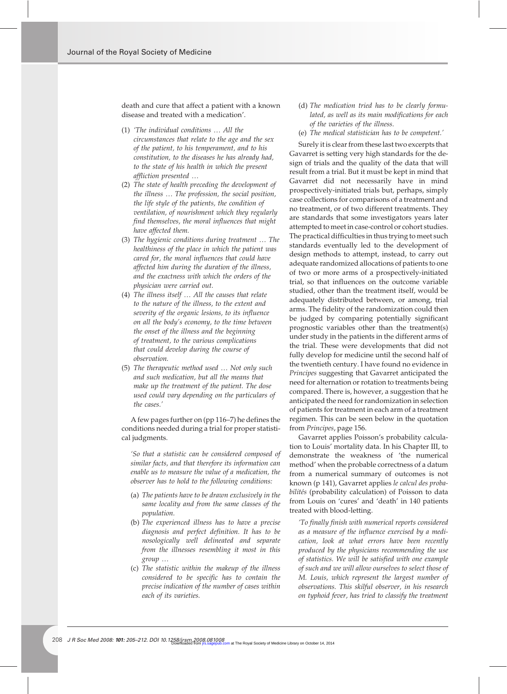death and cure that affect a patient with a known disease and treated with a medication'.

- (1) *'The individual conditions* . *All the circumstances that relate to the age and the sex of the patient, to his temperament, and to his constitution, to the diseases he has already had, to the state of his health in which the present affliction presented* .
- (2) *The state of health preceding the development of the illness* . *The profession, the social position, the life style of the patients, the condition of ventilation, of nourishment which they regularly find themselves, the moral influences that might have affected them.*
- (3) The hygienic conditions during treatment ... The *healthiness of the place in which the patient was cared for, the moral influences that could have affected him during the duration of the illness, and the exactness with which the orders of the physician were carried out.*
- (4) *The illness itself* . *All the causes that relate to the nature of the illness, to the extent and severity of the organic lesions, to its influence on all the body's economy, to the time between the onset of the illness and the beginning of treatment, to the various complications that could develop during the course of observation.*
- (5) *The therapeutic method used* . *Not only such and such medication, but all the means that make up the treatment of the patient. The dose used could vary depending on the particulars of the cases.'*

A few pages further on (pp 116–7) he defines the conditions needed during a trial for proper statistical judgments.

*'So that a statistic can be considered composed of similar facts, and that therefore its information can enable us to measure the value of a medication, the observer has to hold to the following conditions:*

- (a) *The patients have to be drawn exclusively in the same locality and from the same classes of the population.*
- (b) *The experienced illness has to have a precise diagnosis and perfect definition. It has to be nosologically well delineated and separate from the illnesses resembling it most in this group* .
- (c) *The statistic within the makeup of the illness considered to be specific has to contain the precise indication of the number of cases within each of its varieties.*
- (d) *The medication tried has to be clearly formulated, as well as its main modifications for each of the varieties of the illness.*
- (e) *The medical statistician has to be competent.'*

Surely it is clear from these last two excerpts that Gavarret is setting very high standards for the design of trials and the quality of the data that will result from a trial. But it must be kept in mind that Gavarret did not necessarily have in mind prospectively-initiated trials but, perhaps, simply case collections for comparisons of a treatment and no treatment, or of two different treatments. They are standards that some investigators years later attempted to meet in case-control or cohort studies. The practical difficulties in thus trying to meet such standards eventually led to the development of design methods to attempt, instead, to carry out adequate randomized allocations of patients to one of two or more arms of a prospectively-initiated trial, so that influences on the outcome variable studied, other than the treatment itself, would be adequately distributed between, or among, trial arms. The fidelity of the randomization could then be judged by comparing potentially significant prognostic variables other than the treatment(s) under study in the patients in the different arms of the trial. These were developments that did not fully develop for medicine until the second half of the twentieth century. I have found no evidence in *Principes* suggesting that Gavarret anticipated the need for alternation or rotation to treatments being compared. There is, however, a suggestion that he anticipated the need for randomization in selection of patients for treatment in each arm of a treatment regimen. This can be seen below in the quotation from *Principes*, page 156.

Gavarret applies Poisson's probability calculation to Louis' mortality data. In his Chapter III, to demonstrate the weakness of 'the numerical method' when the probable correctness of a datum from a numerical summary of outcomes is not known (p 141), Gavarret applies *le calcul des probabilités* (probability calculation) of Poisson to data from Louis on 'cures' and 'death' in 140 patients treated with blood-letting.

*'To finally finish with numerical reports considered as a measure of the influence exercised by a medication, look at what errors have been recently produced by the physicians recommending the use of statistics. We will be satisfied with one example of such and we will allow ourselves to select those of M. Louis, which represent the largest number of observations. This skilful observer, in his research on typhoid fever, has tried to classify the treatment*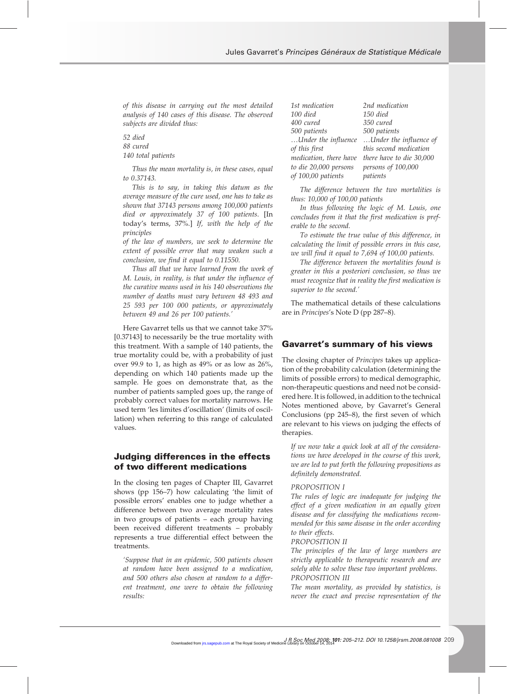*of this disease in carrying out the most detailed analysis of 140 cases of this disease. The observed subjects are divided thus:*

*52 died 88 cured 140 total patients*

*Thus the mean mortality is, in these cases, equal to 0.37143.*

*This is to say, in taking this datum as the average measure of the cure used, one has to take as shown that 37143 persons among 100,000 patients died or approximately 37 of 100 patients*. [In today's terms, 37%.] *If, with the help of the principles*

*of the law of numbers, we seek to determine the extent of possible error that may weaken such a conclusion, we find it equal to 0.11550.*

*Thus all that we have learned from the work of M. Louis, in reality, is that under the influence of the curative means used in his 140 observations the number of deaths must vary between 48 493 and 25 593 per 100 000 patients, or approximately between 49 and 26 per 100 patients.'*

Here Gavarret tells us that we cannot take 37% [0.37143] to necessarily be the true mortality with this treatment. With a sample of 140 patients, the true mortality could be, with a probability of just over 99.9 to 1, as high as 49% or as low as 26%, depending on which 140 patients made up the sample. He goes on demonstrate that, as the number of patients sampled goes up, the range of probably correct values for mortality narrows. He used term 'les limites d'oscillation' (limits of oscillation) when referring to this range of calculated values.

## **Judging differences in the effects of two different medications**

In the closing ten pages of Chapter III, Gavarret shows (pp 156–7) how calculating 'the limit of possible errors' enables one to judge whether a difference between two average mortality rates in two groups of patients – each group having been received different treatments – probably represents a true differential effect between the treatments.

*'Suppose that in an epidemic, 500 patients chosen at random have been assigned to a medication, and 500 others also chosen at random to a different treatment, one were to obtain the following results:*

| 1st medication         | 2nd medication           |
|------------------------|--------------------------|
| 100 died               | 150 died                 |
| 400 cured              | 350 cured                |
| 500 patients           | 500 patients             |
| Under the influence    | Under the influence of   |
| of this first          | this second medication   |
| medication, there have | there have to die 30,000 |
| to die 20,000 persons  | persons of 100,000       |
| of 100,00 patients     | patients                 |
|                        |                          |

*The difference between the two mortalities is thus: 10,000 of 100,00 patients*

*In thus following the logic of M. Louis, one concludes from it that the first medication is preferable to the second.*

*To estimate the true value of this difference, in calculating the limit of possible errors in this case, we will find it equal to 7,694 of 100,00 patients.*

*The difference between the mortalities found is greater in this a posteriori conclusion, so thus we must recognize that in reality the first medication is superior to the second.'*

The mathematical details of these calculations are in *Principes*'s Note D (pp 287–8).

#### **Gavarret's summary of his views**

The closing chapter of *Principes* takes up application of the probability calculation (determining the limits of possible errors) to medical demographic, non-therapeutic questions and need not be considered here. It is followed, in addition to the technical Notes mentioned above, by Gavarret's General Conclusions (pp 245–8), the first seven of which are relevant to his views on judging the effects of therapies.

*If we now take a quick look at all of the considerations we have developed in the course of this work, we are led to put forth the following propositions as definitely demonstrated.*

#### *PROPOSITION I*

*The rules of logic are inadequate for judging the effect of a given medication in an equally given disease and for classifying the medications recommended for this same disease in the order according to their effects.*

#### *PROPOSITION II*

*The principles of the law of large numbers are strictly applicable to therapeutic research and are solely able to solve these two important problems. PROPOSITION III*

*The mean mortality, as provided by statistics, is never the exact and precise representation of the*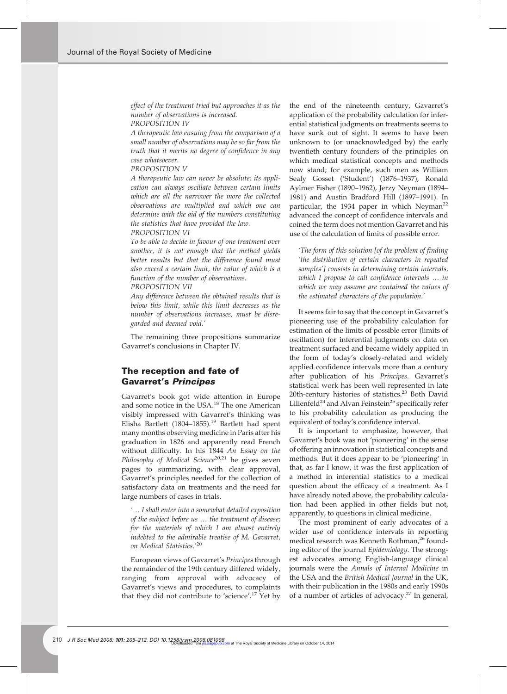*effect of the treatment tried but approaches it as the number of observations is increased.*

*PROPOSITION IV*

*A therapeutic law ensuing from the comparison of a small number of observations may be so far from the truth that it merits no degree of confidence in any case whatsoever.*

#### *PROPOSITION V*

*A therapeutic law can never be absolute; its application can always oscillate between certain limits which are all the narrower the more the collected observations are multiplied and which one can determine with the aid of the numbers constituting the statistics that have provided the law.*

*PROPOSITION VI*

*To be able to decide in favour of one treatment over another, it is not enough that the method yields better results but that the difference found must also exceed a certain limit, the value of which is a function of the number of observations.*

#### *PROPOSITION VII*

*Any difference between the obtained results that is below this limit, while this limit decreases as the number of observations increases, must be disregarded and deemed void.'*

The remaining three propositions summarize Gavarret's conclusions in Chapter IV.

## **The reception and fate of Gavarret's** *Principes*

Gavarret's book got wide attention in Europe and some notice in the USA.<sup>18</sup> The one American visibly impressed with Gavarret's thinking was Elisha Bartlett (1804–1855).<sup>19</sup> Bartlett had spent many months observing medicine in Paris after his graduation in 1826 and apparently read French without difficulty. In his 1844 *An Essay on the* Philosophy of Medical Science<sup>20,21</sup> he gives seven pages to summarizing, with clear approval, Gavarret's principles needed for the collection of satisfactory data on treatments and the need for large numbers of cases in trials.

*'*. *I shall enter into a somewhat detailed exposition of the subject before us* . *the treatment of disease; for the materials of which I am almost entirely indebted to the admirable treatise of M. Gavarret, on Medical Statistics.'*<sup>20</sup>

European views of Gavarret's *Principes* through the remainder of the 19th century differed widely, ranging from approval with advocacy of Gavarret's views and procedures, to complaints that they did not contribute to 'science'.<sup>17</sup> Yet by the end of the nineteenth century, Gavarret's application of the probability calculation for inferential statistical judgments on treatments seems to have sunk out of sight. It seems to have been unknown to (or unacknowledged by) the early twentieth century founders of the principles on which medical statistical concepts and methods now stand; for example, such men as William Sealy Gosset ('Student') (1876–1937), Ronald Aylmer Fisher (1890–1962), Jerzy Neyman (1894– 1981) and Austin Bradford Hill (1897–1991). In particular, the 1934 paper in which Neyman<sup>22</sup> advanced the concept of confidence intervals and coined the term does not mention Gavarret and his use of the calculation of limits of possible error.

*'The form of this solution [of the problem of finding 'the distribution of certain characters in repeated samples'] consists in determining certain intervals, which I propose to call confidence intervals* ... *in which we may assume are contained the values of the estimated characters of the population.'*

It seems fair to say that the concept in Gavarret's pioneering use of the probability calculation for estimation of the limits of possible error (limits of oscillation) for inferential judgments on data on treatment surfaced and became widely applied in the form of today's closely-related and widely applied confidence intervals more than a century after publication of his *Principes*. Gavarret's statistical work has been well represented in late 20th-century histories of statistics.<sup>23</sup> Both David Lilienfeld<sup>24</sup> and Alvan Feinstein<sup>25</sup> specifically refer to his probability calculation as producing the equivalent of today's confidence interval.

It is important to emphasize, however, that Gavarret's book was not 'pioneering' in the sense of offering an innovation in statistical concepts and methods. But it does appear to be 'pioneering' in that, as far I know, it was the first application of a method in inferential statistics to a medical question about the efficacy of a treatment. As I have already noted above, the probability calculation had been applied in other fields but not, apparently, to questions in clinical medicine.

The most prominent of early advocates of a wider use of confidence intervals in reporting medical research was Kenneth Rothman,<sup>26</sup> founding editor of the journal *Epidemiology*. The strongest advocates among English-language clinical journals were the *Annals of Internal Medicine* in the USA and the *British Medical Journal* in the UK, with their publication in the 1980s and early 1990s of a number of articles of advocacy.<sup>27</sup> In general,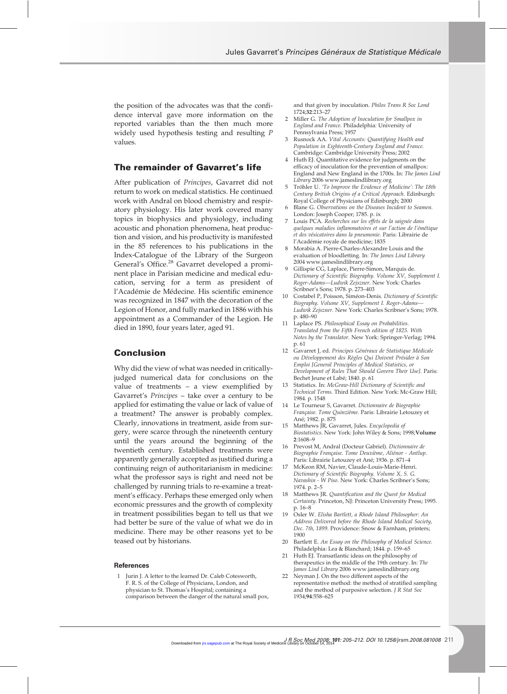the position of the advocates was that the confidence interval gave more information on the reported variables than the then much more widely used hypothesis testing and resulting *P* values.

## **The remainder of Gavarret's life**

After publication of *Principes*, Gavarret did not return to work on medical statistics. He continued work with Andral on blood chemistry and respiratory physiology. His later work covered many topics in biophysics and physiology, including acoustic and phonation phenomena, heat production and vision, and his productivity is manifested in the 85 references to his publications in the Index-Catalogue of the Library of the Surgeon General's Office.<sup>28</sup> Gavarret developed a prominent place in Parisian medicine and medical education, serving for a term as president of l'Académie de Médecine. His scientific eminence was recognized in 1847 with the decoration of the Legion of Honor, and fully marked in 1886 with his appointment as a Commander of the Legion. He died in 1890, four years later, aged 91.

### **Conclusion**

Why did the view of what was needed in criticallyjudged numerical data for conclusions on the value of treatments – a view exemplified by Gavarret's *Principes* – take over a century to be applied for estimating the value or lack of value of a treatment? The answer is probably complex. Clearly, innovations in treatment, aside from surgery, were scarce through the nineteenth century until the years around the beginning of the twentieth century. Established treatments were apparently generally accepted as justified during a continuing reign of authoritarianism in medicine: what the professor says is right and need not be challenged by running trials to re-examine a treatment's efficacy. Perhaps these emerged only when economic pressures and the growth of complexity in treatment possibilities began to tell us that we had better be sure of the value of what we do in medicine. There may be other reasons yet to be teased out by historians.

#### **References**

Jurin J. A letter to the learned Dr. Caleb Cotesworth, F. R. S. of the College of Physicians, London, and physician to St. Thomas's Hospital; containing a comparison between the danger of the natural small pox, and that given by inoculation. *Philos Trans R Soc Lond* 1724;**32**:213–27

- 2 Miller G. *The Adoption of Inoculation for Smallpox in England and France.* Philadelphia: University of Pennsylvania Press; 1957
- 3 Rusnock AA. *Vital Accounts: Quantifying Health and Population in Eighteenth-Century England and France.* Cambridge: Cambridge University Press; 2002
- 4 Huth EJ. Quantitative evidence for judgments on the efficacy of inoculation for the prevention of smallpox: England and New England in the 1700s. In: *The James Lind Library* 2006 www.jameslindlibrary.org
- 5 Tröhler U. *'To Improve the Evidence of Medicine': The 18th Century British Origins of a Critical Approach.* Edinburgh: Royal College of Physicians of Edinburgh; 2000
- 6 Blane G. *Observations on the Diseases Incident to Seamen.* London: Joseph Cooper; 1785. p. ix
- 7 Louis PCA. *Recherches sur les effets de la saignée dans quelques maladies inflammatoires et sur l'action de l'émétique et des vésicatoires dans la pneumonie.* Paris: Librairie de l'Académie royale de medicine; 1835
- 8 Morabia A. Pierre-Charles-Alexandre Louis and the evaluation of bloodletting. In: *The James Lind Library* 2004 www.jameslindlibrary.org
- 9 Gillispie CG, Laplace, Pierre-Simon, Marquis de. *Dictionary of Scientific Biography. Volume XV, Supplement I. Roger-Adams—Ludwik Zejszner.* New York: Charles Scribner's Sons; 1978. p. 273–403
- 10 Costabel P, Poisson, Siméon-Denis. *Dictionary of Scientific Biography. Volume XV, Supplement I. Roger-Adams— Ludwik Zejszner.* New York: Charles Scribner's Sons; 1978. p. 480–90
- 11 Laplace PS. *Philosophical Essay on Probabilities. Translated from the Fifth French edition of 1825. With Notes by the Translator.* New York: Springer-Verlag; 1994. p. 61
- 12 Gavarret J, ed. *Principes Généraux de Statistique Médicale ou Développement des Règles Qui Doivent Présider à Son Emploi [General Principles of Medical Statistics, or Development of Rules That Should Govern Their Use].* Paris: Bechet Jeune et Labé; 1840. p. 61
- 13 Statistics. In: *McGraw-Hill Dictionary of Scientific and Technical Terms.* Third Edition. New York: Mc-Graw Hill; 1984. p. 1548
- 14 Le Tourneur S, Gavarret. *Dictionnaire de Biographie Française. Tome Quinzième.* Paris: Librairie Letouzey et Ané; 1982. p. 875
- 15 Matthews JR, Gavarret, Jules. *Encyclopedia of Biostatistics.* New York: John Wiley & Sons; 1998;**Volume 2**:1608–9
- 16 Prevost M, Andral (Docteur Gabriel). *Dictionnaire de Biographie Française. Tome Deuxième, Aliénor - Antlup.* Paris: Librairie Letouzey et Ané; 1936. p. 871–4
- 17 McKeon RM, Navier, Claude-Louis-Marie-Henri. *Dictionary of Scientific Biography. Volume X, S. G. Navashin - W Piso.* New York: Charles Scribner's Sons; 1974. p. 2–5
- 18 Matthews JR. *Quantification and the Quest for Medical Certainty.* Princeton, NJ: Princeton University Press; 1995. p. 16–8
- 19 Osler W. *Elisha Bartlett, a Rhode Island Philosopher: An Address Delivered before the Rhode Island Medical Society, Dec. 7th, 1899.* Providence: Snow & Farnham, printers; 1900
- 20 Bartlett E. *An Essay on the Philosophy of Medical Science.* Philadelphia: Lea & Blanchard; 1844. p. 159–65
- 21 Huth EJ. Transatlantic ideas on the philosophy of therapeutics in the middle of the 19th century. In: *The James Lind Library* 2006 www.jameslindlibrary.org
- 22 Neyman J. On the two different aspects of the representative method: the method of stratified sampling and the method of purposive selection. *J R Stat Soc* 1934;**94**:558–625